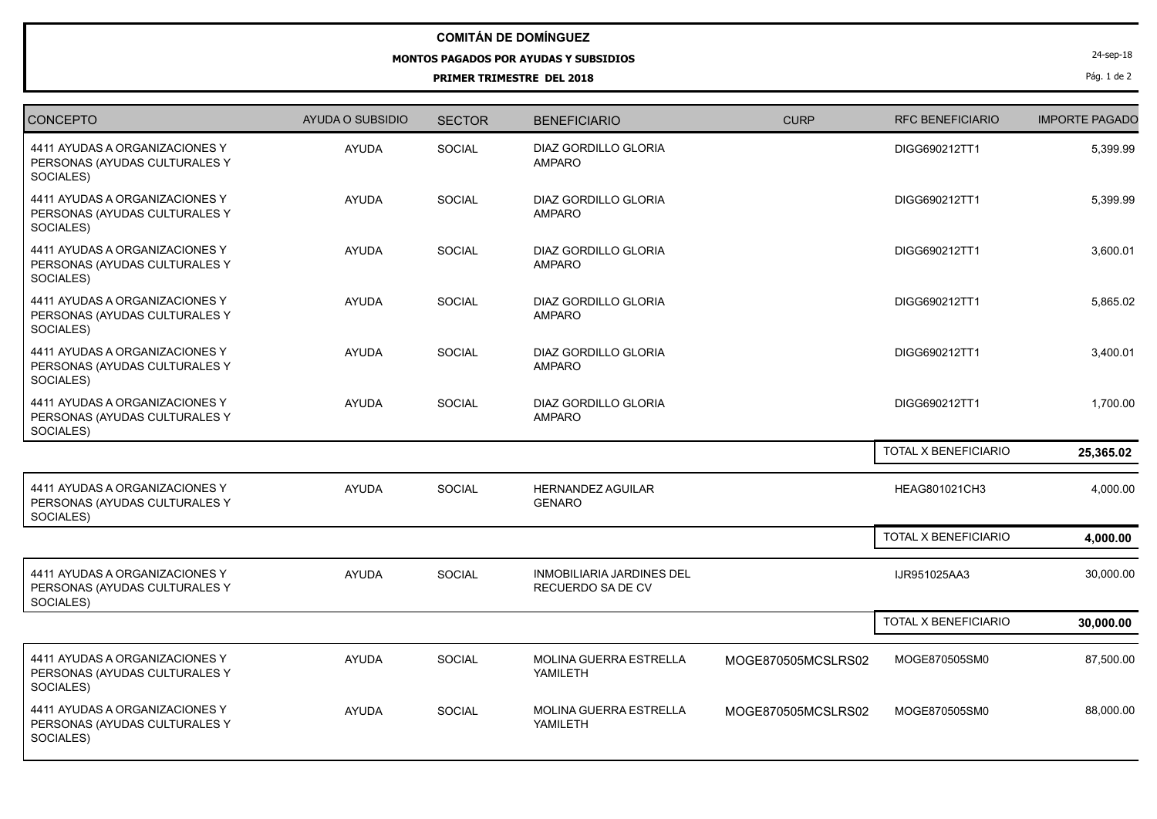## **COMITÁN DE DOMÍNGUEZ**

## **MONTOS PAGADOS POR AYUDAS Y SUBSIDIOS**

## **PRIMER TRIMESTRE DEL 2018**

24-sep-18

## Pág. 1 de 2

| <b>CONCEPTO</b>                                                              | AYUDA O SUBSIDIO | <b>SECTOR</b> | <b>BENEFICIARIO</b>                                   | <b>CURP</b>        | <b>RFC BENEFICIARIO</b> | <b>IMPORTE PAGADO</b> |
|------------------------------------------------------------------------------|------------------|---------------|-------------------------------------------------------|--------------------|-------------------------|-----------------------|
| 4411 AYUDAS A ORGANIZACIONES Y<br>PERSONAS (AYUDAS CULTURALES Y<br>SOCIALES) | <b>AYUDA</b>     | <b>SOCIAL</b> | DIAZ GORDILLO GLORIA<br>AMPARO                        |                    | DIGG690212TT1           | 5,399.99              |
| 4411 AYUDAS A ORGANIZACIONES Y<br>PERSONAS (AYUDAS CULTURALES Y<br>SOCIALES) | <b>AYUDA</b>     | SOCIAL        | DIAZ GORDILLO GLORIA<br><b>AMPARO</b>                 |                    | DIGG690212TT1           | 5,399.99              |
| 4411 AYUDAS A ORGANIZACIONES Y<br>PERSONAS (AYUDAS CULTURALES Y<br>SOCIALES) | <b>AYUDA</b>     | SOCIAL        | DIAZ GORDILLO GLORIA<br><b>AMPARO</b>                 |                    | DIGG690212TT1           | 3,600.01              |
| 4411 AYUDAS A ORGANIZACIONES Y<br>PERSONAS (AYUDAS CULTURALES Y<br>SOCIALES) | <b>AYUDA</b>     | <b>SOCIAL</b> | DIAZ GORDILLO GLORIA<br><b>AMPARO</b>                 |                    | DIGG690212TT1           | 5,865.02              |
| 4411 AYUDAS A ORGANIZACIONES Y<br>PERSONAS (AYUDAS CULTURALES Y<br>SOCIALES) | <b>AYUDA</b>     | <b>SOCIAL</b> | DIAZ GORDILLO GLORIA<br><b>AMPARO</b>                 |                    | DIGG690212TT1           | 3,400.01              |
| 4411 AYUDAS A ORGANIZACIONES Y<br>PERSONAS (AYUDAS CULTURALES Y<br>SOCIALES) | <b>AYUDA</b>     | <b>SOCIAL</b> | DIAZ GORDILLO GLORIA<br><b>AMPARO</b>                 |                    | DIGG690212TT1           | 1,700.00              |
|                                                                              |                  |               |                                                       |                    | TOTAL X BENEFICIARIO    | 25,365.02             |
| 4411 AYUDAS A ORGANIZACIONES Y<br>PERSONAS (AYUDAS CULTURALES Y<br>SOCIALES) | <b>AYUDA</b>     | <b>SOCIAL</b> | <b>HERNANDEZ AGUILAR</b><br><b>GENARO</b>             |                    | HEAG801021CH3           | 4,000.00              |
|                                                                              |                  |               |                                                       |                    | TOTAL X BENEFICIARIO    | 4,000.00              |
| 4411 AYUDAS A ORGANIZACIONES Y<br>PERSONAS (AYUDAS CULTURALES Y<br>SOCIALES) | <b>AYUDA</b>     | SOCIAL        | <b>INMOBILIARIA JARDINES DEL</b><br>RECUERDO SA DE CV |                    | IJR951025AA3            | 30,000.00             |
|                                                                              |                  |               |                                                       |                    | TOTAL X BENEFICIARIO    | 30,000.00             |
| 4411 AYUDAS A ORGANIZACIONES Y<br>PERSONAS (AYUDAS CULTURALES Y<br>SOCIALES) | <b>AYUDA</b>     | <b>SOCIAL</b> | <b>MOLINA GUERRA ESTRELLA</b><br>YAMILETH             | MOGE870505MCSLRS02 | MOGE870505SM0           | 87,500.00             |
| 4411 AYUDAS A ORGANIZACIONES Y<br>PERSONAS (AYUDAS CULTURALES Y<br>SOCIALES) | <b>AYUDA</b>     | <b>SOCIAL</b> | MOLINA GUERRA ESTRELLA<br>YAMILETH                    | MOGE870505MCSLRS02 | MOGE870505SM0           | 88,000.00             |